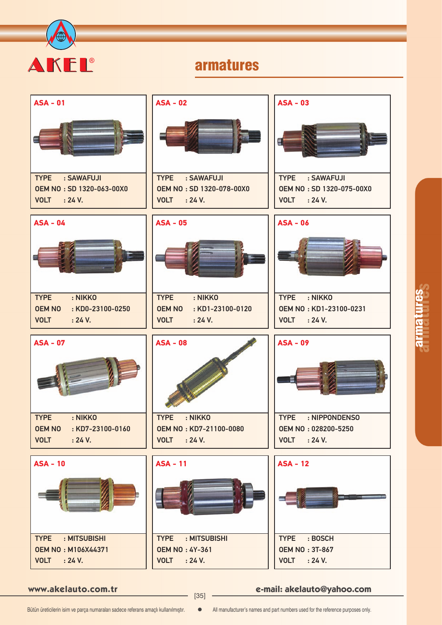

# armatures

| $ASA - 01$                                          | <b>ASA - 02</b>                                    | $ASA - 03$                                         |
|-----------------------------------------------------|----------------------------------------------------|----------------------------------------------------|
|                                                     |                                                    |                                                    |
| : SAWAFUJI<br><b>TYPE</b>                           | <b>TYPE</b><br>: SAWAFUJI                          | <b>TYPE</b><br>: SAWAFUJI                          |
| OEM NO: SD 1320-063-00X0<br><b>VOLT</b> : 24 V.     | OEM NO: SD 1320-078-00X0<br>: 24 V.<br><b>VOLT</b> | OEM NO: SD 1320-075-00X0<br><b>VOLT</b><br>: 24 V. |
|                                                     |                                                    |                                                    |
| $ASA - 04$                                          | <b>ASA - 05</b>                                    | <b>ASA - 06</b>                                    |
|                                                     |                                                    |                                                    |
| <b>TYPE</b><br>: NIKKO                              | <b>TYPE</b><br>: NIKKO                             | <b>TYPE</b><br>: NIKKO                             |
| <b>OEM NO</b><br>: KD0-23100-0250                   | <b>OEM NO</b><br>: KD1-23100-0120                  | OEM NO: KD1-23100-0231                             |
| : 24 V.<br><b>VOLT</b>                              | : 24 V.<br><b>VOLT</b>                             | <b>VOLT</b> : 24 V.                                |
|                                                     |                                                    |                                                    |
| <b>ASA - 07</b>                                     | <b>ASA - 08</b>                                    | $ASA - 09$                                         |
| : NIKKO<br><b>TYPE</b>                              | : NIKKO<br><b>TYPE</b>                             | <b>TYPE</b><br>: NIPPONDENSO                       |
| <b>OEM NO</b><br>$:$ KD7-23100-0160                 | <b>OEM NO: KD7-21100-0080</b>                      | OEM NO: 028200-5250                                |
| <b>VOLT</b><br>: 24 V.                              | <b>VOLT</b><br>: 24 V.                             | <b>VOLT</b><br>: 24 V.                             |
| $ASA - 10$                                          | <b>ASA - 11</b>                                    | <b>ASA - 12</b>                                    |
|                                                     |                                                    |                                                    |
| : MITSUBISHI<br><b>TYPE</b>                         | <b>TYPE</b><br>: MITSUBISHI                        | <b>TYPE</b><br>: BOSCH                             |
| <b>OEM NO: M106X44371</b><br><b>VOLT</b><br>: 24 V. | <b>OEM NO: 4Y-361</b><br>: 24 V.<br><b>VOLT</b>    | <b>OEM NO: 3T-867</b><br>: 24 V.<br><b>VOLT</b>    |

**www.akelauto.com.tr e-mail: akelauto@yahoo.com** [35]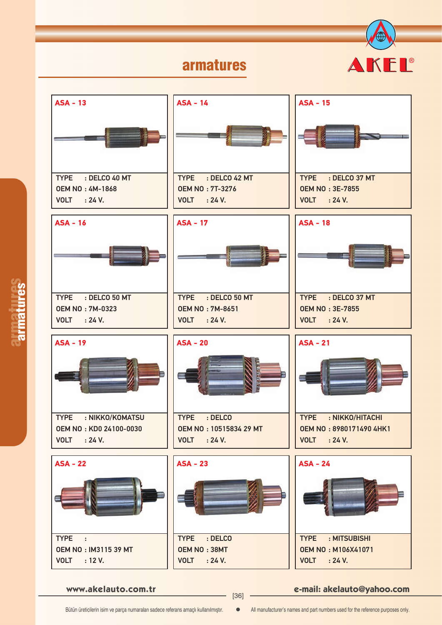### armatures





armatures armatures

**www.akelauto.com.tr e-mail: akelauto@yahoo.com** [36]